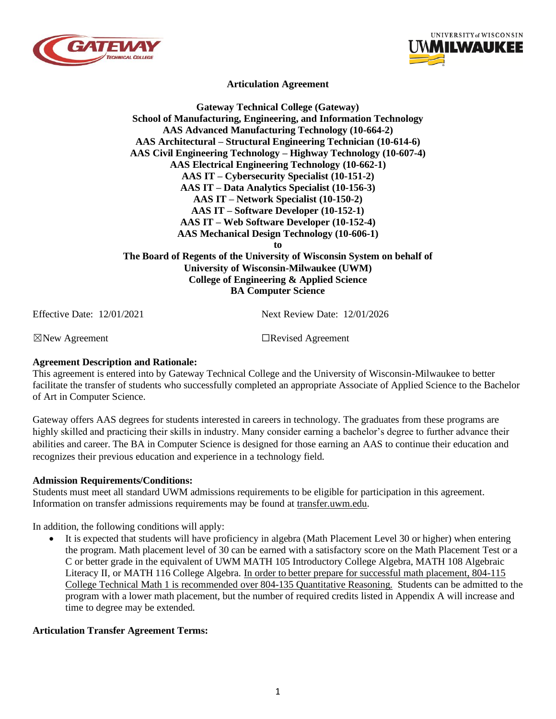



**Articulation Agreement**

## **Gateway Technical College (Gateway) School of Manufacturing, Engineering, and Information Technology AAS Advanced Manufacturing Technology (10-664-2) AAS Architectural – Structural Engineering Technician (10-614-6) AAS Civil Engineering Technology – Highway Technology (10-607-4) AAS Electrical Engineering Technology (10-662-1) AAS IT – Cybersecurity Specialist (10-151-2) AAS IT – Data Analytics Specialist (10-156-3) AAS IT – Network Specialist (10-150-2) AAS IT – Software Developer (10-152-1) AAS IT – Web Software Developer (10-152-4) AAS Mechanical Design Technology (10-606-1) to The Board of Regents of the University of Wisconsin System on behalf of University of Wisconsin-Milwaukee (UWM)**

**College of Engineering & Applied Science BA Computer Science**

Effective Date: 12/01/2021 Next Review Date: 12/01/2026

☒New Agreement ☐Revised Agreement

### **Agreement Description and Rationale:**

This agreement is entered into by Gateway Technical College and the University of Wisconsin-Milwaukee to better facilitate the transfer of students who successfully completed an appropriate Associate of Applied Science to the Bachelor of Art in Computer Science.

Gateway offers AAS degrees for students interested in careers in technology. The graduates from these programs are highly skilled and practicing their skills in industry. Many consider earning a bachelor's degree to further advance their abilities and career. The BA in Computer Science is designed for those earning an AAS to continue their education and recognizes their previous education and experience in a technology field.

### **Admission Requirements/Conditions:**

Students must meet all standard UWM admissions requirements to be eligible for participation in this agreement. Information on transfer admissions requirements may be found at transfer.uwm.edu.

In addition, the following conditions will apply:

It is expected that students will have proficiency in algebra (Math Placement Level 30 or higher) when entering the program. Math placement level of 30 can be earned with a satisfactory score on the Math Placement Test or a C or better grade in the equivalent of UWM MATH 105 Introductory College Algebra, MATH 108 Algebraic Literacy II, or MATH 116 College Algebra. In order to better prepare for successful math placement, 804-115 College Technical Math 1 is recommended over 804-135 Quantitative Reasoning. Students can be admitted to the program with a lower math placement, but the number of required credits listed in Appendix A will increase and time to degree may be extended.

#### **Articulation Transfer Agreement Terms:**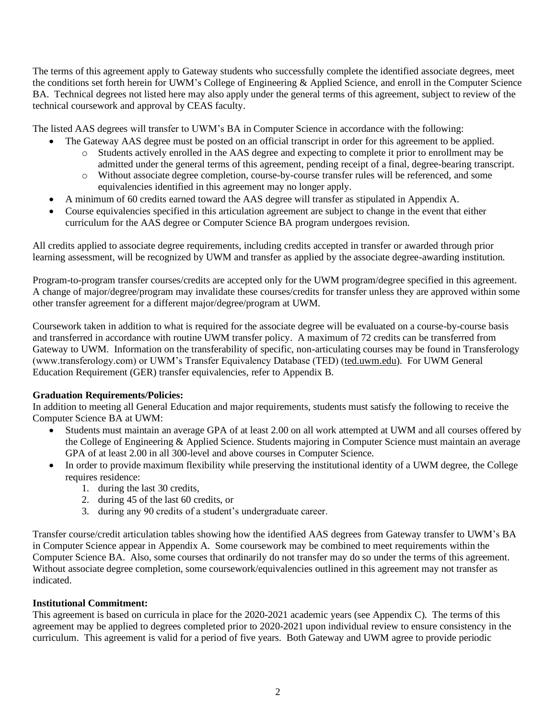The terms of this agreement apply to Gateway students who successfully complete the identified associate degrees, meet the conditions set forth herein for UWM's College of Engineering & Applied Science, and enroll in the Computer Science BA. Technical degrees not listed here may also apply under the general terms of this agreement, subject to review of the technical coursework and approval by CEAS faculty.

The listed AAS degrees will transfer to UWM's BA in Computer Science in accordance with the following:

- The Gateway AAS degree must be posted on an official transcript in order for this agreement to be applied.
	- o Students actively enrolled in the AAS degree and expecting to complete it prior to enrollment may be admitted under the general terms of this agreement, pending receipt of a final, degree-bearing transcript.
	- o Without associate degree completion, course-by-course transfer rules will be referenced, and some equivalencies identified in this agreement may no longer apply.
- A minimum of 60 credits earned toward the AAS degree will transfer as stipulated in Appendix A.
- Course equivalencies specified in this articulation agreement are subject to change in the event that either curriculum for the AAS degree or Computer Science BA program undergoes revision.

All credits applied to associate degree requirements, including credits accepted in transfer or awarded through prior learning assessment, will be recognized by UWM and transfer as applied by the associate degree-awarding institution.

Program-to-program transfer courses/credits are accepted only for the UWM program/degree specified in this agreement. A change of major/degree/program may invalidate these courses/credits for transfer unless they are approved within some other transfer agreement for a different major/degree/program at UWM.

Coursework taken in addition to what is required for the associate degree will be evaluated on a course-by-course basis and transferred in accordance with routine UWM transfer policy. A maximum of 72 credits can be transferred from Gateway to UWM. Information on the transferability of specific, non-articulating courses may be found in Transferology (www.transferology.com) or UWM's Transfer Equivalency Database (TED) (ted.uwm.edu). For UWM General Education Requirement (GER) transfer equivalencies, refer to Appendix B.

## **Graduation Requirements/Policies:**

In addition to meeting all General Education and major requirements, students must satisfy the following to receive the Computer Science BA at UWM:

- Students must maintain an average GPA of at least 2.00 on all work attempted at UWM and all courses offered by the College of Engineering & Applied Science. Students majoring in Computer Science must maintain an average GPA of at least 2.00 in all 300-level and above courses in Computer Science.
- In order to provide maximum flexibility while preserving the institutional identity of a UWM degree, the College requires residence:
	- 1. during the last 30 credits,
	- 2. during 45 of the last 60 credits, or
	- 3. during any 90 credits of a student's undergraduate career.

Transfer course/credit articulation tables showing how the identified AAS degrees from Gateway transfer to UWM's BA in Computer Science appear in Appendix A. Some coursework may be combined to meet requirements within the Computer Science BA. Also, some courses that ordinarily do not transfer may do so under the terms of this agreement. Without associate degree completion, some coursework/equivalencies outlined in this agreement may not transfer as indicated.

## **Institutional Commitment:**

This agreement is based on curricula in place for the 2020-2021 academic years (see Appendix C). The terms of this agreement may be applied to degrees completed prior to 2020-2021 upon individual review to ensure consistency in the curriculum. This agreement is valid for a period of five years. Both Gateway and UWM agree to provide periodic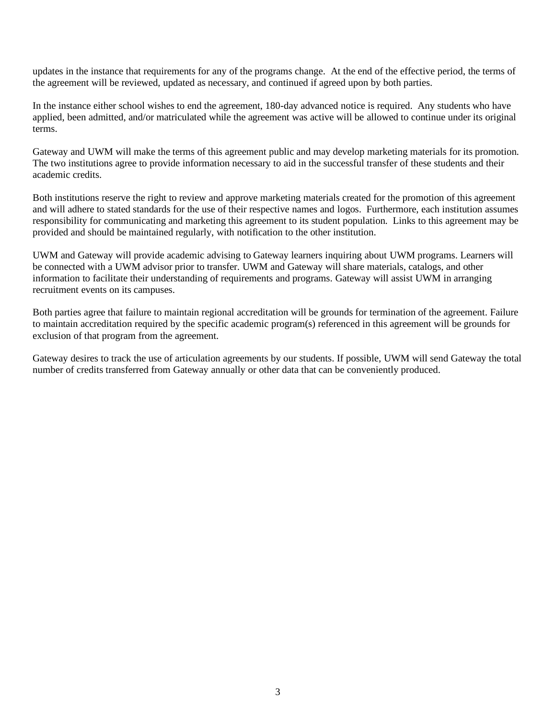updates in the instance that requirements for any of the programs change. At the end of the effective period, the terms of the agreement will be reviewed, updated as necessary, and continued if agreed upon by both parties.

In the instance either school wishes to end the agreement, 180-day advanced notice is required. Any students who have applied, been admitted, and/or matriculated while the agreement was active will be allowed to continue under its original terms.

Gateway and UWM will make the terms of this agreement public and may develop marketing materials for its promotion. The two institutions agree to provide information necessary to aid in the successful transfer of these students and their academic credits.

Both institutions reserve the right to review and approve marketing materials created for the promotion of this agreement and will adhere to stated standards for the use of their respective names and logos. Furthermore, each institution assumes responsibility for communicating and marketing this agreement to its student population. Links to this agreement may be provided and should be maintained regularly, with notification to the other institution.

UWM and Gateway will provide academic advising to Gateway learners inquiring about UWM programs. Learners will be connected with a UWM advisor prior to transfer. UWM and Gateway will share materials, catalogs, and other information to facilitate their understanding of requirements and programs. Gateway will assist UWM in arranging recruitment events on its campuses.

Both parties agree that failure to maintain regional accreditation will be grounds for termination of the agreement. Failure to maintain accreditation required by the specific academic program(s) referenced in this agreement will be grounds for exclusion of that program from the agreement.

Gateway desires to track the use of articulation agreements by our students. If possible, UWM will send Gateway the total number of credits transferred from Gateway annually or other data that can be conveniently produced.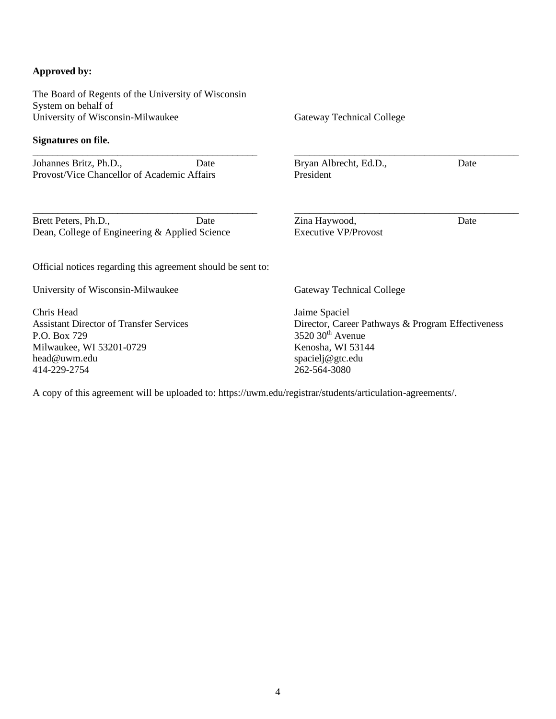## **Approved by:**

The Board of Regents of the University of Wisconsin System on behalf of University of Wisconsin-Milwaukee **Signatures on file.** \_\_\_\_\_\_\_\_\_\_\_\_\_\_\_\_\_\_\_\_\_\_\_\_\_\_\_\_\_\_\_\_\_\_\_\_\_\_\_\_\_\_\_\_\_ Johannes Britz, Ph.D., Date Provost/Vice Chancellor of Academic Affairs \_\_\_\_\_\_\_\_\_\_\_\_\_\_\_\_\_\_\_\_\_\_\_\_\_\_\_\_\_\_\_\_\_\_\_\_\_\_\_\_\_\_\_\_\_ Brett Peters, Ph.D., Date Dean, College of Engineering & Applied Science Gateway Technical College \_\_\_\_\_\_\_\_\_\_\_\_\_\_\_\_\_\_\_\_\_\_\_\_\_\_\_\_\_\_\_\_\_\_\_\_\_\_\_\_\_\_\_\_\_ Bryan Albrecht, Ed.D., Date President \_\_\_\_\_\_\_\_\_\_\_\_\_\_\_\_\_\_\_\_\_\_\_\_\_\_\_\_\_\_\_\_\_\_\_\_\_\_\_\_\_\_\_\_\_ Zina Haywood, Date Executive VP/Provost Official notices regarding this agreement should be sent to: University of Wisconsin-Milwaukee Chris Head Assistant Director of Transfer Services P.O. Box 729 Milwaukee, WI 53201-0729 head@uwm.edu 414-229-2754 Gateway Technical College Jaime Spaciel Director, Career Pathways & Program Effectiveness 3520 30<sup>th</sup> Avenue Kenosha, WI 53144 spacielj@gtc.edu 262-564-3080

A copy of this agreement will be uploaded to: https://uwm.edu/registrar/students/articulation-agreements/.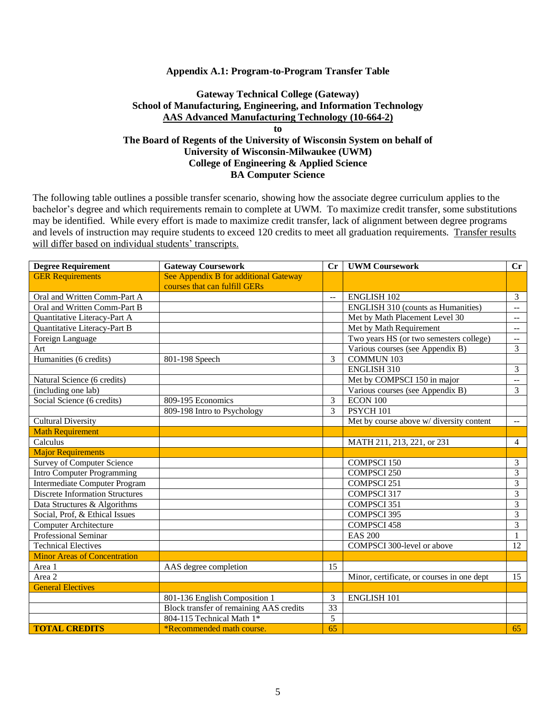#### **Appendix A.1: Program-to-Program Transfer Table**

### **Gateway Technical College (Gateway) School of Manufacturing, Engineering, and Information Technology AAS Advanced Manufacturing Technology (10-664-2) to**

## **The Board of Regents of the University of Wisconsin System on behalf of University of Wisconsin-Milwaukee (UWM) College of Engineering & Applied Science BA Computer Science**

| <b>Degree Requirement</b>              | <b>Gateway Coursework</b>               |                 | <b>UWM Coursework</b>                      | Cr                          |
|----------------------------------------|-----------------------------------------|-----------------|--------------------------------------------|-----------------------------|
| <b>GER Requirements</b>                | See Appendix B for additional Gateway   |                 |                                            |                             |
|                                        | courses that can fulfill GERs           |                 |                                            |                             |
| Oral and Written Comm-Part A           |                                         | --              | <b>ENGLISH 102</b>                         | $\overline{3}$              |
| Oral and Written Comm-Part B           |                                         |                 | <b>ENGLISH 310 (counts as Humanities)</b>  | $\overline{\phantom{a}}$    |
| Quantitative Literacy-Part A           |                                         |                 | Met by Math Placement Level 30             | $- -$                       |
| Quantitative Literacy-Part B           |                                         |                 | Met by Math Requirement                    | $\mathcal{L}_{\mathcal{F}}$ |
| Foreign Language                       |                                         |                 | Two years HS (or two semesters college)    | $\mathbf{L}$                |
| Art                                    |                                         |                 | Various courses (see Appendix B)           | $\overline{3}$              |
| Humanities (6 credits)                 | 801-198 Speech                          | 3               | <b>COMMUN 103</b>                          |                             |
|                                        |                                         |                 | ENGLISH 310                                | 3                           |
| Natural Science (6 credits)            |                                         |                 | Met by COMPSCI 150 in major                | $\overline{a}$              |
| (including one lab)                    |                                         |                 | Various courses (see Appendix B)           | $\overline{3}$              |
| Social Science (6 credits)             | 809-195 Economics                       | 3               | $ECON$ 100                                 |                             |
|                                        | 809-198 Intro to Psychology             | 3               | PSYCH <sub>101</sub>                       |                             |
| <b>Cultural Diversity</b>              |                                         |                 | Met by course above w/ diversity content   | $\sim$ $\sim$               |
| <b>Math Requirement</b>                |                                         |                 |                                            |                             |
| Calculus                               |                                         |                 | MATH 211, 213, 221, or 231                 | $\overline{4}$              |
| <b>Major Requirements</b>              |                                         |                 |                                            |                             |
| <b>Survey of Computer Science</b>      |                                         |                 | <b>COMPSCI 150</b>                         | 3                           |
| <b>Intro Computer Programming</b>      |                                         |                 | <b>COMPSCI 250</b>                         | $\overline{3}$              |
| <b>Intermediate Computer Program</b>   |                                         |                 | <b>COMPSCI 251</b>                         | 3                           |
| <b>Discrete Information Structures</b> |                                         |                 | COMPSCI 317                                | 3                           |
| Data Structures & Algorithms           |                                         |                 | COMPSCI 351                                | 3                           |
| Social, Prof, & Ethical Issues         |                                         |                 | <b>COMPSCI 395</b>                         | 3                           |
| <b>Computer Architecture</b>           |                                         |                 | <b>COMPSCI 458</b>                         | 3                           |
| <b>Professional Seminar</b>            |                                         |                 | <b>EAS 200</b>                             | $\mathbf{1}$                |
| <b>Technical Electives</b>             |                                         |                 | COMPSCI 300-level or above                 | 12                          |
| <b>Minor Areas of Concentration</b>    |                                         |                 |                                            |                             |
| Area 1                                 | AAS degree completion                   | 15              |                                            |                             |
| Area 2                                 |                                         |                 | Minor, certificate, or courses in one dept | 15                          |
| <b>General Electives</b>               |                                         |                 |                                            |                             |
|                                        | 801-136 English Composition 1           | 3               | <b>ENGLISH 101</b>                         |                             |
|                                        | Block transfer of remaining AAS credits | $\overline{33}$ |                                            |                             |
|                                        | 804-115 Technical Math 1*               | 5               |                                            |                             |
| <b>TOTAL CREDITS</b>                   | *Recommended math course.               | 65              |                                            | 65                          |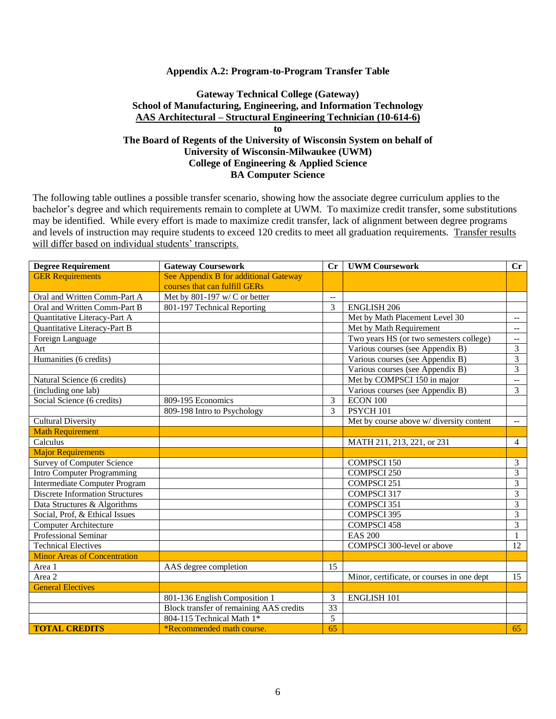#### **Appendix A.2: Program-to-Program Transfer Table**

### **Gateway Technical College (Gateway) School of Manufacturing, Engineering, and Information Technology AAS Architectural – Structural Engineering Technician (10-614-6) to The Board of Regents of the University of Wisconsin System on behalf of**

# **University of Wisconsin-Milwaukee (UWM) College of Engineering & Applied Science BA Computer Science**

| <b>Degree Requirement</b>              | <b>Gateway Coursework</b>               | $C_{r}$                   | <b>UWM Coursework</b>                      | Cr                                            |
|----------------------------------------|-----------------------------------------|---------------------------|--------------------------------------------|-----------------------------------------------|
| <b>GER Requirements</b>                | See Appendix B for additional Gateway   |                           |                                            |                                               |
|                                        | courses that can fulfill GERs           |                           |                                            |                                               |
| Oral and Written Comm-Part A           | Met by 801-197 w/ C or better           | $\overline{a}$            |                                            |                                               |
| Oral and Written Comm-Part B           | 801-197 Technical Reporting             | 3                         | <b>ENGLISH 206</b>                         |                                               |
| Quantitative Literacy-Part A           |                                         |                           | Met by Math Placement Level 30             | $\mathord{\hspace{1pt}\text{--}\hspace{1pt}}$ |
| Quantitative Literacy-Part B           |                                         |                           | Met by Math Requirement                    | $\overline{a}$                                |
| Foreign Language                       |                                         |                           | Two years HS (or two semesters college)    | $\overline{\phantom{a}}$                      |
| Art                                    |                                         |                           | Various courses (see Appendix B)           | 3                                             |
| Humanities (6 credits)                 |                                         |                           | Various courses (see Appendix B)           | 3                                             |
|                                        |                                         |                           | Various courses (see Appendix B)           | $\overline{3}$                                |
| Natural Science (6 credits)            |                                         |                           | Met by COMPSCI 150 in major                | $\overline{\phantom{a}}$                      |
| (including one lab)                    |                                         |                           | Various courses (see Appendix B)           | $\overline{3}$                                |
| Social Science (6 credits)             | 809-195 Economics                       | 3                         | ECON 100                                   |                                               |
|                                        | 809-198 Intro to Psychology             | 3<br>PSYCH <sub>101</sub> |                                            |                                               |
| <b>Cultural Diversity</b>              |                                         |                           | Met by course above w/ diversity content   | $\mathbb{H}^{\mathbb{H}}$                     |
| <b>Math Requirement</b>                |                                         |                           |                                            |                                               |
| Calculus                               |                                         |                           | MATH 211, 213, 221, or 231                 | $\overline{4}$                                |
| <b>Major Requirements</b>              |                                         |                           |                                            |                                               |
| <b>Survey of Computer Science</b>      |                                         |                           | <b>COMPSCI 150</b>                         | 3                                             |
| <b>Intro Computer Programming</b>      |                                         |                           | <b>COMPSCI 250</b>                         | $\overline{3}$                                |
| <b>Intermediate Computer Program</b>   | COMPSCI 251                             |                           |                                            | 3                                             |
| <b>Discrete Information Structures</b> |                                         |                           | COMPSCI 317                                | 3                                             |
| Data Structures & Algorithms           |                                         |                           | COMPSCI 351                                | 3                                             |
| Social, Prof, & Ethical Issues         |                                         |                           | <b>COMPSCI 395</b>                         | 3                                             |
| <b>Computer Architecture</b>           |                                         |                           | <b>COMPSCI 458</b>                         | $\overline{3}$                                |
| <b>Professional Seminar</b>            |                                         |                           | <b>EAS 200</b>                             | 1                                             |
| <b>Technical Electives</b>             |                                         |                           | COMPSCI 300-level or above                 | 12                                            |
| <b>Minor Areas of Concentration</b>    |                                         |                           |                                            |                                               |
| Area 1                                 | AAS degree completion                   | 15                        |                                            |                                               |
| Area 2                                 |                                         |                           | Minor, certificate, or courses in one dept | 15                                            |
| <b>General Electives</b>               |                                         |                           |                                            |                                               |
|                                        | 801-136 English Composition 1           | 3                         | <b>ENGLISH 101</b>                         |                                               |
|                                        | Block transfer of remaining AAS credits | 33                        |                                            |                                               |
|                                        | 804-115 Technical Math 1*               | 5<br>65                   |                                            |                                               |
| <b>TOTAL CREDITS</b>                   | *Recommended math course.               |                           | 65                                         |                                               |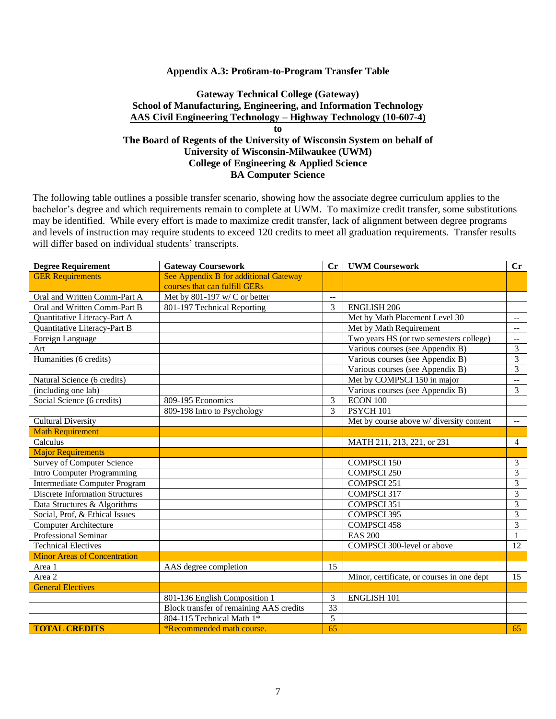#### **Appendix A.3: Pro6ram-to-Program Transfer Table**

## **Gateway Technical College (Gateway) School of Manufacturing, Engineering, and Information Technology AAS Civil Engineering Technology – Highway Technology (10-607-4) to**

## **The Board of Regents of the University of Wisconsin System on behalf of University of Wisconsin-Milwaukee (UWM) College of Engineering & Applied Science BA Computer Science**

| <b>Degree Requirement</b>              | <b>Gateway Coursework</b>               | $C_{r}$              | <b>UWM Coursework</b>                      | Cr                        |
|----------------------------------------|-----------------------------------------|----------------------|--------------------------------------------|---------------------------|
| <b>GER Requirements</b>                | See Appendix B for additional Gateway   |                      |                                            |                           |
|                                        | courses that can fulfill GERs           |                      |                                            |                           |
| Oral and Written Comm-Part A           | Met by $801-197$ w/C or better          | $\overline{a}$       |                                            |                           |
| Oral and Written Comm-Part B           | 801-197 Technical Reporting             | 3                    | <b>ENGLISH 206</b>                         |                           |
| Quantitative Literacy-Part A           |                                         |                      | Met by Math Placement Level 30             | $\overline{a}$            |
| Quantitative Literacy-Part B           |                                         |                      | Met by Math Requirement                    | $\overline{a}$            |
| Foreign Language                       |                                         |                      | Two years HS (or two semesters college)    | $\overline{\phantom{a}}$  |
| Art                                    |                                         |                      | Various courses (see Appendix B)           | $\overline{3}$            |
| Humanities (6 credits)                 |                                         |                      | Various courses (see Appendix B)           | 3                         |
|                                        |                                         |                      | Various courses (see Appendix B)           | 3                         |
| Natural Science (6 credits)            |                                         |                      | Met by COMPSCI 150 in major                | $\overline{\phantom{a}}$  |
| (including one lab)                    |                                         |                      | Various courses (see Appendix B)           | 3                         |
| Social Science (6 credits)             | 809-195 Economics                       | 3                    | ECON 100                                   |                           |
|                                        | 809-198 Intro to Psychology             | PSYCH <sub>101</sub> |                                            |                           |
| <b>Cultural Diversity</b>              |                                         |                      | Met by course above w/ diversity content   | $\mathbb{H}^{\mathbb{H}}$ |
| <b>Math Requirement</b>                |                                         |                      |                                            |                           |
| Calculus                               |                                         |                      | MATH 211, 213, 221, or 231                 | $\overline{4}$            |
| <b>Major Requirements</b>              |                                         |                      |                                            |                           |
| <b>Survey of Computer Science</b>      |                                         |                      | <b>COMPSCI 150</b>                         | $\overline{3}$            |
| <b>Intro Computer Programming</b>      |                                         |                      | <b>COMPSCI 250</b>                         | $\overline{3}$            |
| <b>Intermediate Computer Program</b>   |                                         |                      | COMPSCI 251                                | $\overline{\mathbf{3}}$   |
| <b>Discrete Information Structures</b> |                                         |                      | COMPSCI 317                                | 3                         |
| Data Structures & Algorithms           |                                         |                      | COMPSCI 351                                | $\overline{3}$            |
| Social, Prof, & Ethical Issues         |                                         |                      | <b>COMPSCI 395</b>                         | 3                         |
| <b>Computer Architecture</b>           |                                         |                      | <b>COMPSCI 458</b>                         | $\overline{3}$            |
| <b>Professional Seminar</b>            |                                         |                      | <b>EAS 200</b>                             | 1                         |
| <b>Technical Electives</b>             |                                         |                      | COMPSCI 300-level or above                 | 12                        |
| <b>Minor Areas of Concentration</b>    |                                         |                      |                                            |                           |
| Area 1                                 | AAS degree completion                   | 15                   |                                            |                           |
| Area 2                                 |                                         |                      | Minor, certificate, or courses in one dept | 15                        |
| <b>General Electives</b>               |                                         |                      |                                            |                           |
|                                        | 801-136 English Composition 1           | 3                    | <b>ENGLISH 101</b>                         |                           |
|                                        | Block transfer of remaining AAS credits | $\overline{33}$      |                                            |                           |
|                                        | 804-115 Technical Math 1*               | 5                    |                                            |                           |
| <b>TOTAL CREDITS</b>                   | *Recommended math course.               | 65                   |                                            | 65                        |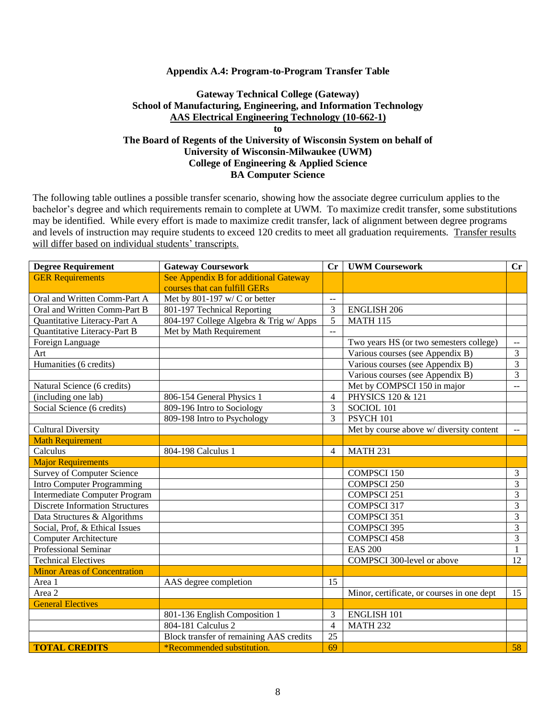#### **Appendix A.4: Program-to-Program Transfer Table**

### **Gateway Technical College (Gateway) School of Manufacturing, Engineering, and Information Technology AAS Electrical Engineering Technology (10-662-1) to**

**The Board of Regents of the University of Wisconsin System on behalf of University of Wisconsin-Milwaukee (UWM) College of Engineering & Applied Science BA Computer Science**

| <b>Degree Requirement</b>              | <b>Gateway Coursework</b>               | $\mathbf{C}\mathbf{r}$           | <b>UWM Coursework</b>                      | Cr                                            |
|----------------------------------------|-----------------------------------------|----------------------------------|--------------------------------------------|-----------------------------------------------|
| <b>GER Requirements</b>                | See Appendix B for additional Gateway   |                                  |                                            |                                               |
|                                        | courses that can fulfill GERs           |                                  |                                            |                                               |
| Oral and Written Comm-Part A           | Met by $801-197$ w/C or better          | $\overline{a}$                   |                                            |                                               |
| Oral and Written Comm-Part B           | 801-197 Technical Reporting             | 3                                | <b>ENGLISH 206</b>                         |                                               |
| Quantitative Literacy-Part A           | 804-197 College Algebra & Trig w/ Apps  | $\overline{5}$                   | <b>MATH 115</b>                            |                                               |
| Quantitative Literacy-Part B           | Met by Math Requirement                 |                                  |                                            |                                               |
| Foreign Language                       |                                         |                                  | Two years HS (or two semesters college)    | $-$                                           |
| Art                                    |                                         |                                  | Various courses (see Appendix B)           | 3                                             |
| Humanities (6 credits)                 |                                         |                                  | Various courses (see Appendix B)           | 3                                             |
|                                        |                                         | Various courses (see Appendix B) |                                            | 3                                             |
| Natural Science (6 credits)            |                                         |                                  | Met by COMPSCI 150 in major                | $-$                                           |
| (including one lab)                    | 806-154 General Physics 1               | $\overline{4}$                   | PHYSICS 120 & 121                          |                                               |
| Social Science (6 credits)             | 809-196 Intro to Sociology              | SOCIOL 101                       |                                            |                                               |
|                                        | 809-198 Intro to Psychology             | PSYCH 101                        |                                            |                                               |
| <b>Cultural Diversity</b>              |                                         |                                  | Met by course above w/ diversity content   | $\mathord{\hspace{1pt}\text{--}\hspace{1pt}}$ |
| <b>Math Requirement</b>                |                                         |                                  |                                            |                                               |
| Calculus                               | 804-198 Calculus 1                      | $\overline{4}$                   | <b>MATH 231</b>                            |                                               |
| <b>Major Requirements</b>              |                                         |                                  |                                            |                                               |
| <b>Survey of Computer Science</b>      |                                         |                                  | <b>COMPSCI 150</b>                         | 3                                             |
| <b>Intro Computer Programming</b>      |                                         |                                  | <b>COMPSCI 250</b>                         | 3                                             |
| <b>Intermediate Computer Program</b>   | <b>COMPSCI 251</b>                      |                                  |                                            | 3                                             |
| <b>Discrete Information Structures</b> |                                         |                                  | <b>COMPSCI 317</b>                         | 3                                             |
| Data Structures & Algorithms           |                                         |                                  | <b>COMPSCI 351</b>                         | 3                                             |
| Social, Prof, & Ethical Issues         |                                         |                                  | <b>COMPSCI 395</b>                         | 3                                             |
| <b>Computer Architecture</b>           |                                         |                                  | <b>COMPSCI 458</b>                         | 3                                             |
| Professional Seminar                   |                                         |                                  | <b>EAS 200</b>                             | $\mathbf{1}$                                  |
| <b>Technical Electives</b>             |                                         |                                  | COMPSCI 300-level or above                 | 12                                            |
| <b>Minor Areas of Concentration</b>    |                                         |                                  |                                            |                                               |
| Area 1                                 | AAS degree completion                   | 15                               |                                            |                                               |
| Area 2                                 |                                         |                                  | Minor, certificate, or courses in one dept | 15                                            |
| <b>General Electives</b>               |                                         |                                  |                                            |                                               |
|                                        | 801-136 English Composition 1           | 3                                | <b>ENGLISH 101</b>                         |                                               |
|                                        | 804-181 Calculus 2                      | $\overline{4}$                   | <b>MATH 232</b>                            |                                               |
|                                        | Block transfer of remaining AAS credits | 25                               |                                            |                                               |
| <b>TOTAL CREDITS</b>                   | <i>*Recommended substitution.</i>       |                                  |                                            | 58                                            |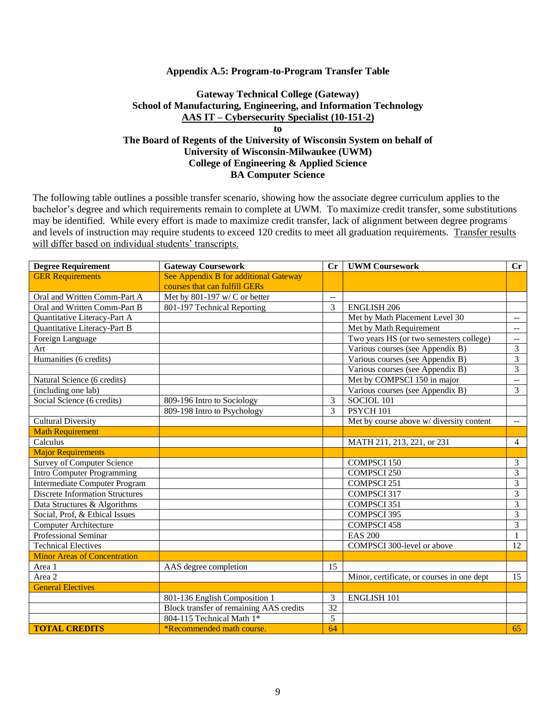#### **Appendix A.5: Program-to-Program Transfer Table**

## **Gateway Technical College (Gateway) School of Manufacturing, Engineering, and Information Technology AAS IT – Cybersecurity Specialist (10-151-2)**

## **to The Board of Regents of the University of Wisconsin System on behalf of University of Wisconsin-Milwaukee (UWM) College of Engineering & Applied Science BA Computer Science**

| <b>Degree Requirement</b>              | <b>Gateway Coursework</b>                      | Cr                                       | <b>UWM Coursework</b>                      | $\mathbf{C}\mathbf{r}$                        |  |
|----------------------------------------|------------------------------------------------|------------------------------------------|--------------------------------------------|-----------------------------------------------|--|
| <b>GER Requirements</b>                | See Appendix B for additional Gateway          |                                          |                                            |                                               |  |
|                                        | courses that can fulfill GERs                  |                                          |                                            |                                               |  |
| Oral and Written Comm-Part A           | Met by $801-197$ w/C or better                 | $\overline{a}$                           |                                            |                                               |  |
| Oral and Written Comm-Part B           | 801-197 Technical Reporting                    | 3                                        | <b>ENGLISH 206</b>                         |                                               |  |
| Quantitative Literacy-Part A           |                                                |                                          | Met by Math Placement Level 30             | $\overline{a}$                                |  |
| Quantitative Literacy-Part B           |                                                |                                          | Met by Math Requirement                    | $\overline{a}$                                |  |
| Foreign Language                       |                                                |                                          | Two years HS (or two semesters college)    | $\mathord{\hspace{1pt}\text{--}\hspace{1pt}}$ |  |
| Art                                    |                                                |                                          | Various courses (see Appendix B)           | $\overline{3}$                                |  |
| Humanities (6 credits)                 |                                                |                                          | Various courses (see Appendix B)           | 3                                             |  |
|                                        |                                                |                                          | Various courses (see Appendix B)           | 3                                             |  |
| Natural Science (6 credits)            |                                                |                                          | Met by COMPSCI 150 in major                | $\overline{a}$                                |  |
| (including one lab)                    |                                                |                                          | Various courses (see Appendix B)           | $\overline{3}$                                |  |
| Social Science (6 credits)             | 809-196 Intro to Sociology                     | 3                                        | SOCIOL 101                                 |                                               |  |
|                                        | 809-198 Intro to Psychology                    | 3<br><b>PSYCH 101</b>                    |                                            |                                               |  |
| <b>Cultural Diversity</b>              |                                                | Met by course above w/ diversity content |                                            | $\mathbb{H}^{\mathbb{H}}$                     |  |
| <b>Math Requirement</b>                |                                                |                                          |                                            |                                               |  |
| Calculus                               |                                                |                                          | MATH 211, 213, 221, or 231                 | $\overline{4}$                                |  |
| <b>Major Requirements</b>              |                                                |                                          |                                            |                                               |  |
| <b>Survey of Computer Science</b>      |                                                |                                          | <b>COMPSCI 150</b>                         | 3                                             |  |
| <b>Intro Computer Programming</b>      |                                                |                                          | <b>COMPSCI 250</b>                         | $\overline{3}$                                |  |
| <b>Intermediate Computer Program</b>   |                                                |                                          | <b>COMPSCI 251</b>                         | $\overline{3}$                                |  |
| <b>Discrete Information Structures</b> |                                                |                                          | COMPSCI 317                                | 3                                             |  |
| Data Structures & Algorithms           |                                                |                                          | COMPSCI 351                                | $\overline{3}$                                |  |
| Social, Prof, & Ethical Issues         |                                                |                                          | <b>COMPSCI 395</b>                         | 3                                             |  |
| <b>Computer Architecture</b>           |                                                |                                          | <b>COMPSCI 458</b>                         | 3                                             |  |
| Professional Seminar                   |                                                |                                          | <b>EAS 200</b>                             | $\mathbf{1}$                                  |  |
| <b>Technical Electives</b>             |                                                |                                          | COMPSCI 300-level or above                 | 12                                            |  |
| <b>Minor Areas of Concentration</b>    |                                                |                                          |                                            |                                               |  |
| Area 1                                 | AAS degree completion                          | 15                                       |                                            |                                               |  |
| Area 2                                 |                                                |                                          | Minor, certificate, or courses in one dept | 15                                            |  |
| <b>General Electives</b>               |                                                |                                          |                                            |                                               |  |
|                                        | 801-136 English Composition 1                  | 3                                        | <b>ENGLISH 101</b>                         |                                               |  |
|                                        | <b>Block transfer of remaining AAS credits</b> | 32                                       |                                            |                                               |  |
|                                        | 804-115 Technical Math 1*                      | 5                                        |                                            |                                               |  |
| <b>TOTAL CREDITS</b>                   | *Recommended math course.                      | 64                                       |                                            | 65                                            |  |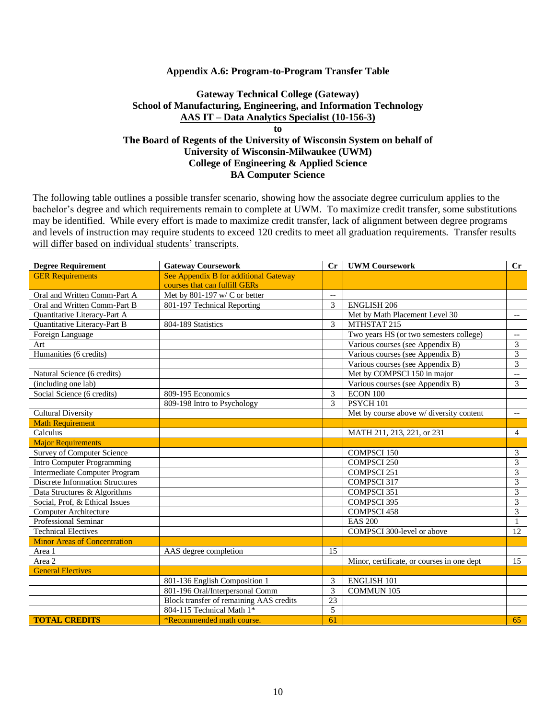#### **Appendix A.6: Program-to-Program Transfer Table**

## **Gateway Technical College (Gateway) School of Manufacturing, Engineering, and Information Technology AAS IT – Data Analytics Specialist (10-156-3)**

**to The Board of Regents of the University of Wisconsin System on behalf of University of Wisconsin-Milwaukee (UWM) College of Engineering & Applied Science BA Computer Science**

| <b>Degree Requirement</b>              | <b>Gateway Coursework</b>               | $C_{r}$                  | <b>UWM Coursework</b>                      | Cr                       |
|----------------------------------------|-----------------------------------------|--------------------------|--------------------------------------------|--------------------------|
| <b>GER Requirements</b>                | See Appendix B for additional Gateway   |                          |                                            |                          |
|                                        | courses that can fulfill GERs           |                          |                                            |                          |
| Oral and Written Comm-Part A           | Met by 801-197 w/ C or better           | $\overline{\phantom{a}}$ |                                            |                          |
| Oral and Written Comm-Part B           | 801-197 Technical Reporting             | 3                        | <b>ENGLISH 206</b>                         |                          |
| Quantitative Literacy-Part A           |                                         |                          | Met by Math Placement Level 30             | $\overline{\phantom{a}}$ |
| Quantitative Literacy-Part B           | 804-189 Statistics                      | 3                        | MTHSTAT 215                                |                          |
| Foreign Language                       |                                         |                          | Two years HS (or two semesters college)    | $\overline{\phantom{a}}$ |
| Art                                    |                                         |                          | Various courses (see Appendix B)           | 3                        |
| Humanities (6 credits)                 |                                         |                          | Various courses (see Appendix B)           | $\overline{3}$           |
|                                        |                                         |                          | Various courses (see Appendix B)           | $\overline{3}$           |
| Natural Science (6 credits)            |                                         |                          | Met by COMPSCI 150 in major                | $\overline{\phantom{a}}$ |
| (including one lab)                    |                                         |                          | Various courses (see Appendix B)           | 3                        |
| Social Science (6 credits)             | 809-195 Economics                       | 3                        | ECON 100                                   |                          |
|                                        | 809-198 Intro to Psychology             | 3                        | PSYCH 101                                  |                          |
| <b>Cultural Diversity</b>              |                                         |                          | Met by course above w/ diversity content   | $\overline{\phantom{a}}$ |
| <b>Math Requirement</b>                |                                         |                          |                                            |                          |
| Calculus                               |                                         |                          | MATH 211, 213, 221, or 231                 | $\overline{4}$           |
| <b>Major Requirements</b>              |                                         |                          |                                            |                          |
| <b>Survey of Computer Science</b>      |                                         |                          | <b>COMPSCI 150</b>                         | 3                        |
| <b>Intro Computer Programming</b>      |                                         |                          | <b>COMPSCI 250</b>                         | 3                        |
| <b>Intermediate Computer Program</b>   |                                         |                          | <b>COMPSCI 251</b>                         | $\overline{3}$           |
| <b>Discrete Information Structures</b> |                                         |                          | <b>COMPSCI 317</b>                         | 3                        |
| Data Structures & Algorithms           |                                         |                          | <b>COMPSCI 351</b>                         | $\overline{3}$           |
| Social, Prof, & Ethical Issues         |                                         |                          | <b>COMPSCI 395</b>                         | $\overline{3}$           |
| Computer Architecture                  |                                         |                          | <b>COMPSCI 458</b>                         | $\overline{3}$           |
| Professional Seminar                   |                                         |                          | <b>EAS 200</b>                             | 1                        |
| <b>Technical Electives</b>             |                                         |                          | <b>COMPSCI 300-level or above</b>          | 12                       |
| <b>Minor Areas of Concentration</b>    |                                         |                          |                                            |                          |
| Area 1                                 | AAS degree completion                   | 15                       |                                            |                          |
| Area 2                                 |                                         |                          | Minor, certificate, or courses in one dept | 15                       |
| <b>General Electives</b>               |                                         |                          |                                            |                          |
|                                        | 801-136 English Composition 1           | 3                        | <b>ENGLISH 101</b>                         |                          |
|                                        | 801-196 Oral/Interpersonal Comm         | 3                        | <b>COMMUN 105</b>                          |                          |
|                                        | Block transfer of remaining AAS credits | $\overline{23}$          |                                            |                          |
|                                        | 804-115 Technical Math 1*               | 5                        |                                            |                          |
| <b>TOTAL CREDITS</b>                   | *Recommended math course.               | 61                       |                                            | 65                       |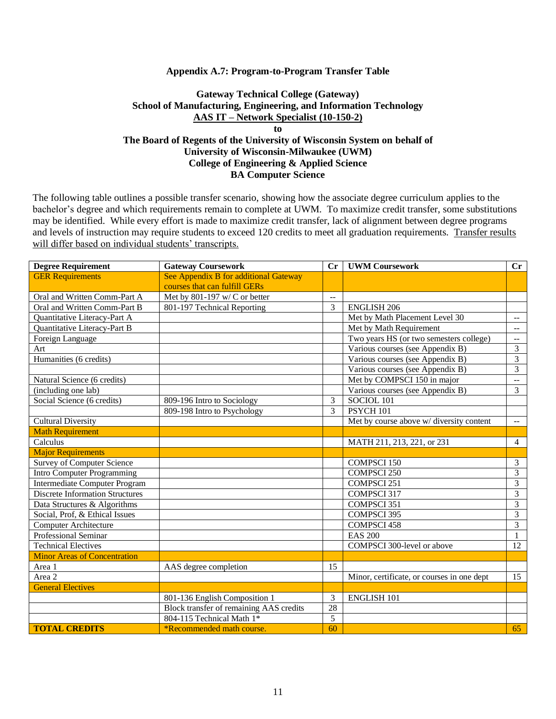#### **Appendix A.7: Program-to-Program Transfer Table**

## **Gateway Technical College (Gateway) School of Manufacturing, Engineering, and Information Technology AAS IT – Network Specialist (10-150-2) to**

## **The Board of Regents of the University of Wisconsin System on behalf of University of Wisconsin-Milwaukee (UWM) College of Engineering & Applied Science BA Computer Science**

| <b>Degree Requirement</b>              | <b>Gateway Coursework</b>                      | Cr                                       | <b>UWM Coursework</b>                      | $\mathbf{C}\mathbf{r}$                        |  |
|----------------------------------------|------------------------------------------------|------------------------------------------|--------------------------------------------|-----------------------------------------------|--|
| <b>GER Requirements</b>                | See Appendix B for additional Gateway          |                                          |                                            |                                               |  |
|                                        | courses that can fulfill GERs                  |                                          |                                            |                                               |  |
| Oral and Written Comm-Part A           | Met by $801-197$ w/C or better                 | $\overline{a}$                           |                                            |                                               |  |
| Oral and Written Comm-Part B           | 801-197 Technical Reporting                    | 3                                        | <b>ENGLISH 206</b>                         |                                               |  |
| Quantitative Literacy-Part A           |                                                |                                          | Met by Math Placement Level 30             | $\overline{a}$                                |  |
| Quantitative Literacy-Part B           |                                                |                                          | Met by Math Requirement                    | $\overline{a}$                                |  |
| Foreign Language                       |                                                |                                          | Two years HS (or two semesters college)    | $\mathord{\hspace{1pt}\text{--}\hspace{1pt}}$ |  |
| Art                                    |                                                |                                          | Various courses (see Appendix B)           | $\overline{3}$                                |  |
| Humanities (6 credits)                 |                                                |                                          | Various courses (see Appendix B)           | 3                                             |  |
|                                        |                                                |                                          | Various courses (see Appendix B)           | 3                                             |  |
| Natural Science (6 credits)            |                                                |                                          | Met by COMPSCI 150 in major                | $\overline{a}$                                |  |
| (including one lab)                    |                                                |                                          | Various courses (see Appendix B)           | $\overline{3}$                                |  |
| Social Science (6 credits)             | 809-196 Intro to Sociology                     | 3                                        | SOCIOL 101                                 |                                               |  |
|                                        | 809-198 Intro to Psychology                    | 3<br><b>PSYCH 101</b>                    |                                            |                                               |  |
| <b>Cultural Diversity</b>              |                                                | Met by course above w/ diversity content |                                            | $\mathbb{H}^{\mathbb{H}}$                     |  |
| <b>Math Requirement</b>                |                                                |                                          |                                            |                                               |  |
| Calculus                               |                                                |                                          | MATH 211, 213, 221, or 231                 | $\overline{4}$                                |  |
| <b>Major Requirements</b>              |                                                |                                          |                                            |                                               |  |
| <b>Survey of Computer Science</b>      |                                                |                                          | <b>COMPSCI 150</b>                         | 3                                             |  |
| <b>Intro Computer Programming</b>      |                                                |                                          | <b>COMPSCI 250</b>                         | $\overline{3}$                                |  |
| <b>Intermediate Computer Program</b>   |                                                |                                          | <b>COMPSCI 251</b>                         | $\overline{3}$                                |  |
| <b>Discrete Information Structures</b> |                                                |                                          | COMPSCI 317                                | 3                                             |  |
| Data Structures & Algorithms           |                                                |                                          | COMPSCI 351                                | $\overline{3}$                                |  |
| Social, Prof, & Ethical Issues         |                                                |                                          | <b>COMPSCI 395</b>                         | 3                                             |  |
| <b>Computer Architecture</b>           |                                                |                                          | <b>COMPSCI 458</b>                         | 3                                             |  |
| Professional Seminar                   |                                                |                                          | <b>EAS 200</b>                             | $\mathbf{1}$                                  |  |
| <b>Technical Electives</b>             |                                                |                                          | COMPSCI 300-level or above                 | 12                                            |  |
| <b>Minor Areas of Concentration</b>    |                                                |                                          |                                            |                                               |  |
| Area 1                                 | AAS degree completion                          | 15                                       |                                            |                                               |  |
| Area 2                                 |                                                |                                          | Minor, certificate, or courses in one dept | 15                                            |  |
| <b>General Electives</b>               |                                                |                                          |                                            |                                               |  |
|                                        | 801-136 English Composition 1                  | 3                                        | <b>ENGLISH 101</b>                         |                                               |  |
|                                        | <b>Block transfer of remaining AAS credits</b> | 28                                       |                                            |                                               |  |
|                                        | 804-115 Technical Math 1*                      | 5                                        |                                            |                                               |  |
| <b>TOTAL CREDITS</b>                   | *Recommended math course.                      | 60                                       |                                            | 65                                            |  |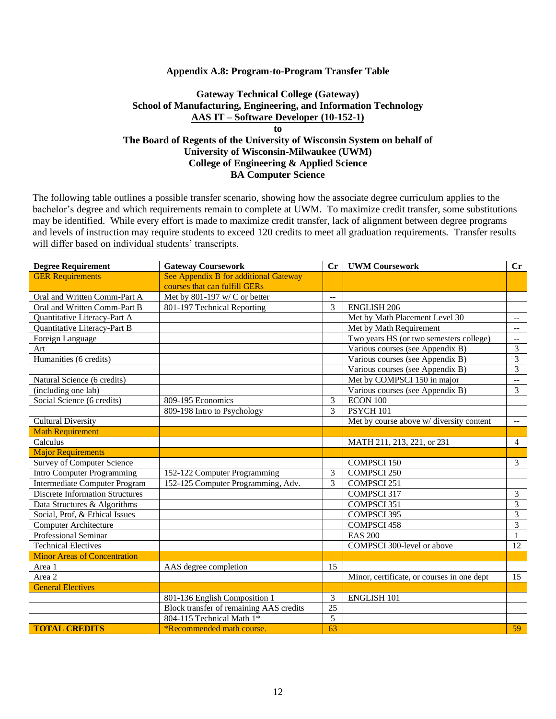#### **Appendix A.8: Program-to-Program Transfer Table**

## **Gateway Technical College (Gateway) School of Manufacturing, Engineering, and Information Technology AAS IT – Software Developer (10-152-1) to**

## **The Board of Regents of the University of Wisconsin System on behalf of University of Wisconsin-Milwaukee (UWM) College of Engineering & Applied Science BA Computer Science**

| <b>Degree Requirement</b>              | <b>Gateway Coursework</b>               | $C_{r}$         | <b>UWM Coursework</b>                      | Cr                                            |
|----------------------------------------|-----------------------------------------|-----------------|--------------------------------------------|-----------------------------------------------|
| <b>GER Requirements</b>                | See Appendix B for additional Gateway   |                 |                                            |                                               |
|                                        | courses that can fulfill GERs           |                 |                                            |                                               |
| Oral and Written Comm-Part A           | Met by 801-197 w/ C or better           | $\overline{a}$  |                                            |                                               |
| Oral and Written Comm-Part B           | 801-197 Technical Reporting             | 3               | <b>ENGLISH 206</b>                         |                                               |
| Quantitative Literacy-Part A           |                                         |                 | Met by Math Placement Level 30             | $\mathord{\hspace{1pt}\text{--}\hspace{1pt}}$ |
| Quantitative Literacy-Part B           |                                         |                 | Met by Math Requirement                    | $\overline{a}$                                |
| Foreign Language                       |                                         |                 | Two years HS (or two semesters college)    | $\overline{\phantom{a}}$                      |
| Art                                    |                                         |                 | Various courses (see Appendix B)           | 3                                             |
| Humanities (6 credits)                 |                                         |                 | Various courses (see Appendix B)           | 3                                             |
|                                        |                                         |                 | Various courses (see Appendix B)           | $\overline{3}$                                |
| Natural Science (6 credits)            |                                         |                 | Met by COMPSCI 150 in major                | $\overline{a}$                                |
| (including one lab)                    |                                         |                 | Various courses (see Appendix B)           | $\overline{3}$                                |
| Social Science (6 credits)             | 809-195 Economics                       | 3               | ECON 100                                   |                                               |
|                                        | 809-198 Intro to Psychology             | 3               | PSYCH <sub>101</sub>                       |                                               |
| <b>Cultural Diversity</b>              |                                         |                 | Met by course above w/ diversity content   | $\mathbb{H}^{\mathbb{H}}$                     |
| <b>Math Requirement</b>                |                                         |                 |                                            |                                               |
| Calculus                               |                                         |                 | MATH 211, 213, 221, or 231                 | $\overline{4}$                                |
| <b>Major Requirements</b>              |                                         |                 |                                            |                                               |
| <b>Survey of Computer Science</b>      |                                         |                 | <b>COMPSCI 150</b>                         | $\overline{3}$                                |
| <b>Intro Computer Programming</b>      | 152-122 Computer Programming            |                 | <b>COMPSCI 250</b>                         |                                               |
| <b>Intermediate Computer Program</b>   | 152-125 Computer Programming, Adv.      |                 | <b>COMPSCI 251</b>                         |                                               |
| <b>Discrete Information Structures</b> |                                         |                 | COMPSCI 317                                | 3                                             |
| Data Structures & Algorithms           |                                         |                 | COMPSCI 351                                | $\overline{\mathbf{3}}$                       |
| Social, Prof, & Ethical Issues         |                                         |                 | <b>COMPSCI 395</b>                         | 3                                             |
| <b>Computer Architecture</b>           |                                         |                 | <b>COMPSCI 458</b>                         | $\overline{3}$                                |
| <b>Professional Seminar</b>            |                                         |                 | <b>EAS 200</b>                             | $\mathbf{1}$                                  |
| <b>Technical Electives</b>             |                                         |                 | COMPSCI 300-level or above                 | 12                                            |
| <b>Minor Areas of Concentration</b>    |                                         |                 |                                            |                                               |
| Area 1                                 | AAS degree completion                   | 15              |                                            |                                               |
| Area 2                                 |                                         |                 | Minor, certificate, or courses in one dept | 15                                            |
| <b>General Electives</b>               |                                         |                 |                                            |                                               |
|                                        | 801-136 English Composition 1           | 3               | <b>ENGLISH 101</b>                         |                                               |
|                                        | Block transfer of remaining AAS credits | $\overline{25}$ |                                            |                                               |
|                                        | 804-115 Technical Math 1*               | 5               |                                            |                                               |
| <b>TOTAL CREDITS</b>                   | *Recommended math course.               | $\overline{63}$ |                                            | 59                                            |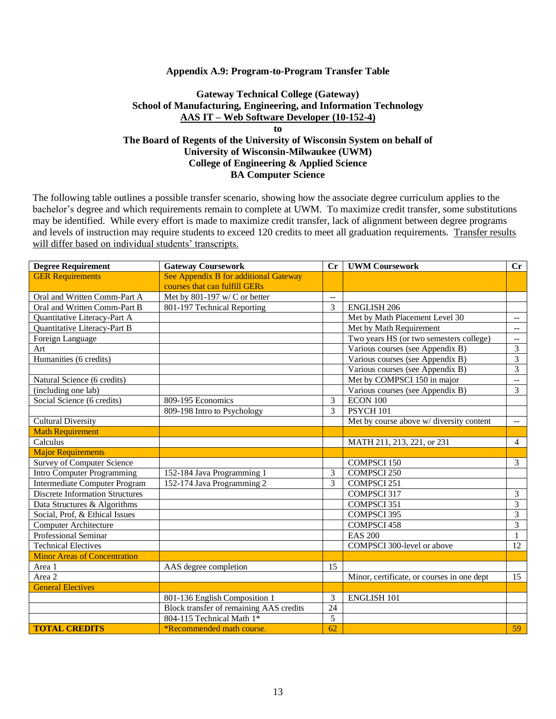#### **Appendix A.9: Program-to-Program Transfer Table**

## **Gateway Technical College (Gateway) School of Manufacturing, Engineering, and Information Technology AAS IT – Web Software Developer (10-152-4)**

**to The Board of Regents of the University of Wisconsin System on behalf of University of Wisconsin-Milwaukee (UWM) College of Engineering & Applied Science BA Computer Science**

| <b>Degree Requirement</b>              | <b>Gateway Coursework</b>               | Cr                       | <b>UWM Coursework</b>                      | Cr                                            |
|----------------------------------------|-----------------------------------------|--------------------------|--------------------------------------------|-----------------------------------------------|
| <b>GER Requirements</b>                | See Appendix B for additional Gateway   |                          |                                            |                                               |
|                                        | courses that can fulfill GERs           |                          |                                            |                                               |
| Oral and Written Comm-Part A           | Met by $801-197$ w/C or better          | $\overline{\phantom{0}}$ |                                            |                                               |
| Oral and Written Comm-Part B           | 801-197 Technical Reporting             | 3                        | <b>ENGLISH 206</b>                         |                                               |
| Quantitative Literacy-Part A           |                                         |                          | Met by Math Placement Level 30             | $\mathord{\hspace{1pt}\text{--}\hspace{1pt}}$ |
| Quantitative Literacy-Part B           |                                         |                          | Met by Math Requirement                    | $\mathcal{L}_{\mathcal{F}}$                   |
| Foreign Language                       |                                         |                          | Two years HS (or two semesters college)    | $\overline{\phantom{a}}$                      |
| Art                                    |                                         |                          | Various courses (see Appendix B)           | 3                                             |
| Humanities (6 credits)                 |                                         |                          | Various courses (see Appendix B)           | 3                                             |
|                                        |                                         |                          | Various courses (see Appendix B)           | $\overline{3}$                                |
| Natural Science (6 credits)            |                                         |                          | Met by COMPSCI 150 in major                | $\overline{a}$                                |
| (including one lab)                    |                                         |                          | Various courses (see Appendix B)           | $\overline{3}$                                |
| Social Science (6 credits)             | 809-195 Economics                       | 3                        | <b>ECON 100</b>                            |                                               |
|                                        | 809-198 Intro to Psychology             | 3                        | PSYCH <sub>101</sub>                       |                                               |
| <b>Cultural Diversity</b>              |                                         |                          | Met by course above w/ diversity content   | $\overline{\phantom{a}}$                      |
| <b>Math Requirement</b>                |                                         |                          |                                            |                                               |
| Calculus                               |                                         |                          | MATH 211, 213, 221, or 231                 | $\overline{4}$                                |
| <b>Major Requirements</b>              |                                         |                          |                                            |                                               |
| <b>Survey of Computer Science</b>      |                                         |                          | <b>COMPSCI 150</b>                         | $\overline{3}$                                |
| <b>Intro Computer Programming</b>      | 152-184 Java Programming 1              |                          | <b>COMPSCI 250</b>                         |                                               |
| <b>Intermediate Computer Program</b>   | 152-174 Java Programming 2              | 3                        | <b>COMPSCI 251</b>                         |                                               |
| <b>Discrete Information Structures</b> |                                         |                          | COMPSCI 317                                | 3                                             |
| Data Structures & Algorithms           |                                         |                          | COMPSCI 351                                | $\overline{3}$                                |
| Social, Prof, & Ethical Issues         |                                         |                          | <b>COMPSCI 395</b>                         | 3                                             |
| <b>Computer Architecture</b>           |                                         |                          | <b>COMPSCI 458</b>                         | 3                                             |
| Professional Seminar                   |                                         |                          | <b>EAS 200</b>                             | 1                                             |
| <b>Technical Electives</b>             |                                         |                          | COMPSCI 300-level or above                 | $\overline{12}$                               |
| <b>Minor Areas of Concentration</b>    |                                         |                          |                                            |                                               |
| Area 1                                 | AAS degree completion                   | 15                       |                                            |                                               |
| Area 2                                 |                                         |                          | Minor, certificate, or courses in one dept | 15                                            |
| <b>General Electives</b>               |                                         |                          |                                            |                                               |
|                                        | 801-136 English Composition 1           | 3                        | <b>ENGLISH 101</b>                         |                                               |
|                                        | Block transfer of remaining AAS credits | 24                       |                                            |                                               |
|                                        | 804-115 Technical Math 1*               | 5                        |                                            |                                               |
| <b>TOTAL CREDITS</b>                   | *Recommended math course.               | 62                       |                                            | 59                                            |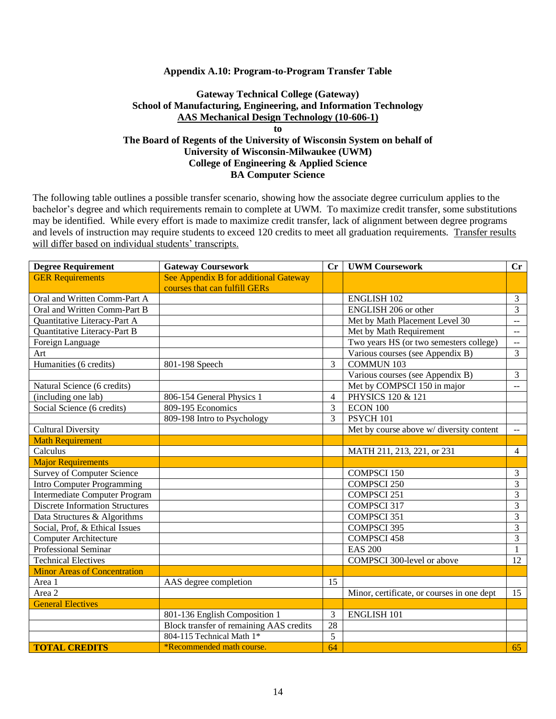### **Appendix A.10: Program-to-Program Transfer Table**

## **Gateway Technical College (Gateway) School of Manufacturing, Engineering, and Information Technology AAS Mechanical Design Technology (10-606-1)**

## **to The Board of Regents of the University of Wisconsin System on behalf of University of Wisconsin-Milwaukee (UWM) College of Engineering & Applied Science BA Computer Science**

| <b>Degree Requirement</b>              | <b>Gateway Coursework</b>               | Cr                                      | <b>UWM Coursework</b>                      | Cr                                            |
|----------------------------------------|-----------------------------------------|-----------------------------------------|--------------------------------------------|-----------------------------------------------|
| <b>GER Requirements</b>                | See Appendix B for additional Gateway   |                                         |                                            |                                               |
|                                        | courses that can fulfill GERs           |                                         |                                            |                                               |
| Oral and Written Comm-Part A           |                                         |                                         | <b>ENGLISH 102</b>                         | 3                                             |
| Oral and Written Comm-Part B           |                                         |                                         | ENGLISH 206 or other                       | 3                                             |
| Quantitative Literacy-Part A           |                                         |                                         | Met by Math Placement Level 30             | $\mathbb{L}^{\perp}$                          |
| Quantitative Literacy-Part B           |                                         | Met by Math Requirement                 |                                            | $\overline{\phantom{a}}$                      |
| Foreign Language                       |                                         | Two years HS (or two semesters college) |                                            | $\mathord{\hspace{1pt}\text{--}\hspace{1pt}}$ |
| Art                                    |                                         |                                         | Various courses (see Appendix B)           | $\overline{3}$                                |
| Humanities (6 credits)                 | 801-198 Speech                          | 3                                       | <b>COMMUN 103</b>                          |                                               |
|                                        |                                         |                                         | Various courses (see Appendix B)           | $\overline{3}$                                |
| Natural Science (6 credits)            |                                         |                                         | Met by COMPSCI 150 in major                | $\overline{a}$                                |
| (including one lab)                    | 806-154 General Physics 1               | $\overline{4}$                          | PHYSICS 120 & 121                          |                                               |
| Social Science (6 credits)             | 809-195 Economics                       | 3<br>ECON 100                           |                                            |                                               |
|                                        | 809-198 Intro to Psychology             | 3<br>PSYCH 101                          |                                            |                                               |
| <b>Cultural Diversity</b>              |                                         |                                         | Met by course above w/ diversity content   | $\mathord{\hspace{1pt}\text{--}\hspace{1pt}}$ |
| <b>Math Requirement</b>                |                                         |                                         |                                            |                                               |
| Calculus                               |                                         |                                         | MATH 211, 213, 221, or 231                 | $\overline{4}$                                |
| <b>Major Requirements</b>              |                                         |                                         |                                            |                                               |
| <b>Survey of Computer Science</b>      |                                         |                                         | <b>COMPSCI 150</b>                         | $\mathfrak{Z}$                                |
| <b>Intro Computer Programming</b>      |                                         |                                         | <b>COMPSCI 250</b>                         | 3                                             |
| <b>Intermediate Computer Program</b>   |                                         |                                         | <b>COMPSCI 251</b>                         | 3                                             |
| <b>Discrete Information Structures</b> |                                         |                                         | <b>COMPSCI 317</b>                         | 3                                             |
| Data Structures & Algorithms           |                                         |                                         | <b>COMPSCI 351</b>                         | 3                                             |
| Social, Prof, & Ethical Issues         |                                         |                                         | <b>COMPSCI 395</b>                         | 3                                             |
| <b>Computer Architecture</b>           |                                         |                                         | <b>COMPSCI 458</b>                         | 3                                             |
| Professional Seminar                   |                                         |                                         | <b>EAS 200</b>                             | 1                                             |
| <b>Technical Electives</b>             |                                         |                                         | COMPSCI 300-level or above                 | 12                                            |
| <b>Minor Areas of Concentration</b>    |                                         |                                         |                                            |                                               |
| Area 1                                 | AAS degree completion                   | 15                                      |                                            |                                               |
| Area 2                                 |                                         |                                         | Minor, certificate, or courses in one dept | 15                                            |
| <b>General Electives</b>               |                                         |                                         |                                            |                                               |
|                                        | 801-136 English Composition 1           | 3                                       | <b>ENGLISH 101</b>                         |                                               |
|                                        | Block transfer of remaining AAS credits | 28                                      |                                            |                                               |
|                                        | 804-115 Technical Math 1*               | 5                                       |                                            |                                               |
| <b>TOTAL CREDITS</b>                   | *Recommended math course.<br>64         |                                         |                                            | 65                                            |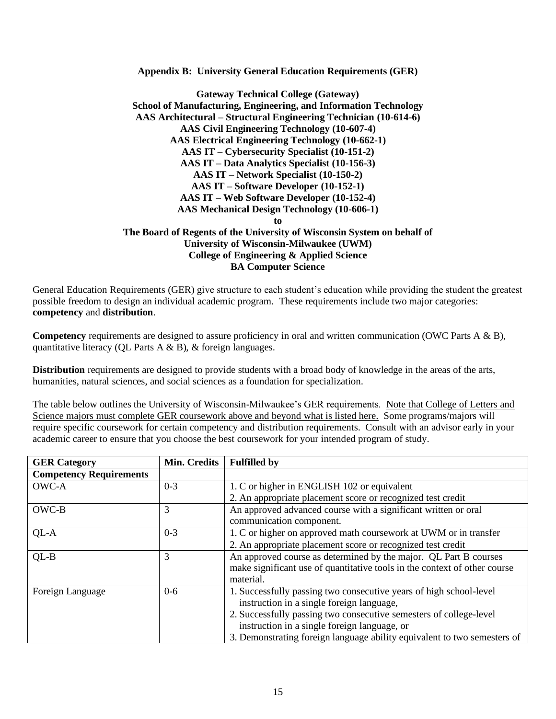**Appendix B: University General Education Requirements (GER)**

**Gateway Technical College (Gateway) School of Manufacturing, Engineering, and Information Technology AAS Architectural – Structural Engineering Technician (10-614-6) AAS Civil Engineering Technology (10-607-4) AAS Electrical Engineering Technology (10-662-1) AAS IT – Cybersecurity Specialist (10-151-2) AAS IT – Data Analytics Specialist (10-156-3) AAS IT – Network Specialist (10-150-2) AAS IT – Software Developer (10-152-1) AAS IT – Web Software Developer (10-152-4) AAS Mechanical Design Technology (10-606-1) to The Board of Regents of the University of Wisconsin System on behalf of University of Wisconsin-Milwaukee (UWM) College of Engineering & Applied Science BA Computer Science**

General Education Requirements (GER) give structure to each student's education while providing the student the greatest possible freedom to design an individual academic program. These requirements include two major categories: **competency** and **distribution**.

**Competency** requirements are designed to assure proficiency in oral and written communication (OWC Parts A & B), quantitative literacy (QL Parts A & B), & foreign languages.

**Distribution** requirements are designed to provide students with a broad body of knowledge in the areas of the arts, humanities, natural sciences, and social sciences as a foundation for specialization.

The table below outlines the University of Wisconsin-Milwaukee's GER requirements. Note that College of Letters and Science majors must complete GER coursework above and beyond what is listed here. Some programs/majors will require specific coursework for certain competency and distribution requirements. Consult with an advisor early in your academic career to ensure that you choose the best coursework for your intended program of study.

| <b>GER Category</b>            | Min. Credits | <b>Fulfilled by</b>                                                       |
|--------------------------------|--------------|---------------------------------------------------------------------------|
| <b>Competency Requirements</b> |              |                                                                           |
| OWC-A                          | $0 - 3$      | 1. C or higher in ENGLISH 102 or equivalent                               |
|                                |              | 2. An appropriate placement score or recognized test credit               |
| OWC-B                          | 3            | An approved advanced course with a significant written or oral            |
|                                |              | communication component.                                                  |
| $QL-A$                         | $0 - 3$      | 1. C or higher on approved math coursework at UWM or in transfer          |
|                                |              | 2. An appropriate placement score or recognized test credit               |
| $QL-B$                         | 3            | An approved course as determined by the major. QL Part B courses          |
|                                |              | make significant use of quantitative tools in the context of other course |
|                                |              | material.                                                                 |
| Foreign Language               | $0 - 6$      | 1. Successfully passing two consecutive years of high school-level        |
|                                |              | instruction in a single foreign language,                                 |
|                                |              | 2. Successfully passing two consecutive semesters of college-level        |
|                                |              | instruction in a single foreign language, or                              |
|                                |              | 3. Demonstrating foreign language ability equivalent to two semesters of  |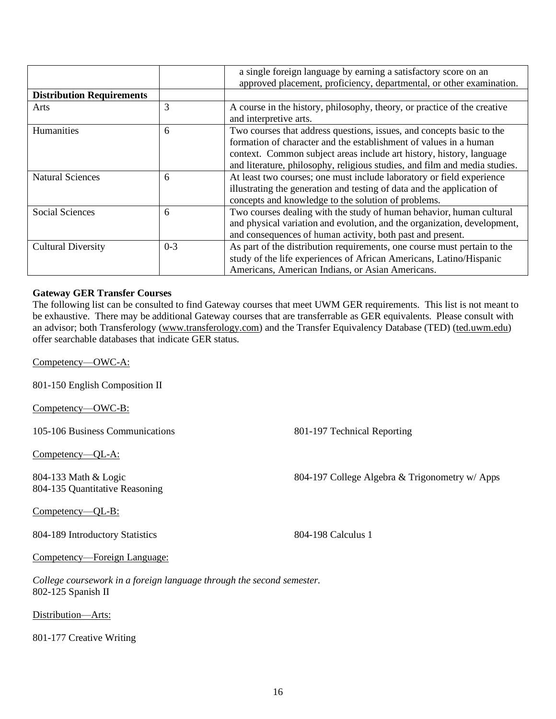|                                  |         | a single foreign language by earning a satisfactory score on an<br>approved placement, proficiency, departmental, or other examination.                                                                                                                                                          |
|----------------------------------|---------|--------------------------------------------------------------------------------------------------------------------------------------------------------------------------------------------------------------------------------------------------------------------------------------------------|
| <b>Distribution Requirements</b> |         |                                                                                                                                                                                                                                                                                                  |
| Arts                             | 3       | A course in the history, philosophy, theory, or practice of the creative<br>and interpretive arts.                                                                                                                                                                                               |
| Humanities                       | 6       | Two courses that address questions, issues, and concepts basic to the<br>formation of character and the establishment of values in a human<br>context. Common subject areas include art history, history, language<br>and literature, philosophy, religious studies, and film and media studies. |
| <b>Natural Sciences</b>          | 6       | At least two courses; one must include laboratory or field experience<br>illustrating the generation and testing of data and the application of<br>concepts and knowledge to the solution of problems.                                                                                           |
| Social Sciences                  | 6       | Two courses dealing with the study of human behavior, human cultural<br>and physical variation and evolution, and the organization, development,<br>and consequences of human activity, both past and present.                                                                                   |
| <b>Cultural Diversity</b>        | $0 - 3$ | As part of the distribution requirements, one course must pertain to the<br>study of the life experiences of African Americans, Latino/Hispanic<br>Americans, American Indians, or Asian Americans.                                                                                              |

#### **Gateway GER Transfer Courses**

The following list can be consulted to find Gateway courses that meet UWM GER requirements. This list is not meant to be exhaustive. There may be additional Gateway courses that are transferrable as GER equivalents. Please consult with an advisor; both Transferology (www.transferology.com) and the Transfer Equivalency Database (TED) (ted.uwm.edu) offer searchable databases that indicate GER status.

Competency—OWC-A:

801-150 English Composition II

Competency—OWC-B:

105-106 Business Communications 801-197 Technical Reporting

Competency—QL-A:

804-133 Math & Logic 804-135 Quantitative Reasoning

Competency—QL-B:

804-189 Introductory Statistics 804-198 Calculus 1

804-197 College Algebra & Trigonometry w/ Apps

Competency—Foreign Language:

*College coursework in a foreign language through the second semester.* 802-125 Spanish II

Distribution—Arts:

801-177 Creative Writing